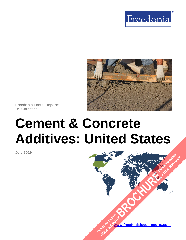



**Freedonia Focus Reports** US Collection

# **Cement & Concrete Additives: United States**

**July 2019**

**[www.freedoniafocusreports.com](https://www.freedoniafocusreports.com/redirect.asp?progid=89534&url=/)** CLICK TO ORDER **FULL REPORT** 

**[BROCHURE](https://www.freedoniafocusreports.com/Cement-Concrete-Additives-United-States-FF60050/?progid=89541) CLICK TO ORDER** 

**FULL REPORT**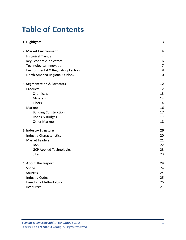# **Table of Contents**

| 1. Highlights                                 | 3                       |
|-----------------------------------------------|-------------------------|
| 2. Market Environment                         | $\overline{\mathbf{4}}$ |
| <b>Historical Trends</b>                      | 4                       |
| Key Economic Indicators                       | 6                       |
| <b>Technological Innovation</b>               | $\overline{7}$          |
| <b>Environmental &amp; Regulatory Factors</b> | 8                       |
| North America Regional Outlook                | 10                      |
| 3. Segmentation & Forecasts                   | 12                      |
| Products                                      | 12                      |
| Chemicals                                     | 13                      |
| <b>Minerals</b>                               | 14                      |
| Fibers                                        | 14                      |
| Markets                                       | 16                      |
| <b>Building Construction</b>                  | 17                      |
| Roads & Bridges                               | 17                      |
| <b>Other Markets</b>                          | 18                      |
| 4. Industry Structure                         | 20                      |
| <b>Industry Characteristics</b>               | 20                      |
| <b>Market Leaders</b>                         | 21                      |
| <b>BASF</b>                                   | 22                      |
| <b>GCP Applied Technologies</b>               | 23                      |
| Sika                                          | 23                      |
| 5. About This Report                          | 24                      |
| Scope                                         | 24                      |
| Sources                                       | 24                      |
| <b>Industry Codes</b>                         | 25                      |
| Freedonia Methodology                         | 25                      |
| Resources                                     | 27                      |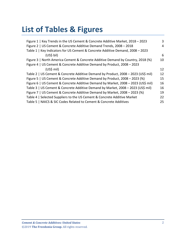# **List of Tables & Figures**

| Figure 1   Key Trends in the US Cement & Concrete Additive Market, 2018 - 2023    | 3  |
|-----------------------------------------------------------------------------------|----|
| Figure 2   US Cement & Concrete Additive Demand Trends, 2008 - 2018               | 4  |
| Table 1   Key Indicators for US Cement & Concrete Additive Demand, 2008 - 2023    |    |
| (US\$ bil)                                                                        | 6  |
| Figure 3   North America Cement & Concrete Additive Demand by Country, 2018 (%)   | 10 |
| Figure 4   US Cement & Concrete Additive Demand by Product, 2008 - 2023           |    |
| (US\$ mil)                                                                        | 12 |
| Table 2   US Cement & Concrete Additive Demand by Product, 2008 - 2023 (US\$ mil) | 12 |
| Figure 5   US Cement & Concrete Additive Demand by Product, 2008 – 2023 (%)       | 15 |
| Figure 6   US Cement & Concrete Additive Demand by Market, 2008 - 2023 (US\$ mil) | 16 |
| Table 3   US Cement & Concrete Additive Demand by Market, 2008 - 2023 (US\$ mil)  | 16 |
| Figure 7   US Cement & Concrete Additive Demand by Market, 2008 - 2023 (%)        | 19 |
| Table 4   Selected Suppliers to the US Cement & Concrete Additive Market          | 22 |
| Table 5   NAICS & SIC Codes Related to Cement & Concrete Additives                | 25 |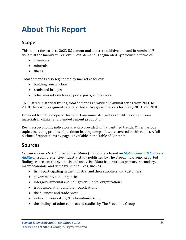# <span id="page-3-0"></span>**About This Report**

# <span id="page-3-1"></span>**Scope**

This report forecasts to 2023 US cement and concrete additive demand in nominal US dollars at the manufacturer level. Total demand is segmented by product in terms of:

- chemicals
- minerals
- fibers

Total demand is also segmented by market as follows:

- building construction
- roads and bridges
- other markets such as airports, ports, and railways

To illustrate historical trends, total demand is provided in annual series from 2008 to 2018; the various segments are reported at five-year intervals for 2008, 2013, and 2018.

Excluded from the scope of this report are minerals used as substitute cementitious materials in clinker and blended cement production.

Key macroeconomic indicators are also provided with quantified trends. Other various topics, including profiles of pertinent leading companies, are covered in this report. A full outline of report items by page is available in the Table of Contents.

## <span id="page-3-2"></span>**Sources**

*Cement & Concrete Additives: United States* (FF60050) is based on *[Global Cement & Concrete](http://www.freedoniagroup.com/DocumentDetails.aspx?ReferrerId=FL-FOCUS&studyid=3748)  [Additives,](http://www.freedoniagroup.com/DocumentDetails.aspx?ReferrerId=FL-FOCUS&studyid=3748)* a comprehensive industry study published by The Freedonia Group. Reported findings represent the synthesis and analysis of data from various primary, secondary, macroeconomic, and demographic sources, such as:

- firms participating in the industry, and their suppliers and customers
- government/public agencies
- intergovernmental and non-governmental organizations
- trade associations and their publications
- the business and trade press
- indicator forecasts by The Freedonia Group
- the findings of other reports and studies by The Freedonia Group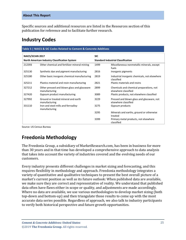#### **About This Report**

Specific sources and additional resources are listed in the Resources section of this publication for reference and to facilitate further research.

## <span id="page-4-0"></span>**Industry Codes**

<span id="page-4-2"></span>

| Table 5   NAICS & SIC Codes Related to Cement & Concrete Additives       |                                                              |                                           |                                                                    |  |
|--------------------------------------------------------------------------|--------------------------------------------------------------|-------------------------------------------|--------------------------------------------------------------------|--|
| NAICS/SCIAN 2017<br><b>North American Industry Classification System</b> |                                                              | <b>SIC</b>                                |                                                                    |  |
|                                                                          |                                                              | <b>Standard Industrial Classification</b> |                                                                    |  |
| 212393                                                                   | Other chemical and fertilizer mineral mining                 | 1499                                      | Miscellaneous nonmetallic minerals, except<br>fuels                |  |
| 325130                                                                   | Synthetic dye and pigment manufacturing                      | 2816                                      | Inorganic pigments                                                 |  |
| 325180                                                                   | Other basic inorganic chemical manufacturing                 | 2819                                      | Industrial inorganic chemicals, not elsewhere<br>classified        |  |
| 325211                                                                   | Plastics material and resin manufacturing                    | 2821                                      | Plastic materials and resins                                       |  |
| 327212                                                                   | Other pressed and blown glass and glassware<br>manufacturing | 2899                                      | Chemicals and chemical preparations, not<br>elsewhere classified   |  |
| 327420                                                                   | Gypsum product manufacturing                                 | 3089                                      | Plastic products, not elsewhere classified                         |  |
| 327992                                                                   | Ground or treated mineral and earth<br>manufacturing         | 3229                                      | Pressed and blown glass and glassware, not<br>elsewhere classified |  |
| 331110                                                                   | Iron and steel mills and ferroalloy<br>manufacturing         | 3275                                      | Gypsum products                                                    |  |
|                                                                          |                                                              | 3295                                      | Minerals and earths, ground or otherwise<br>treated                |  |
|                                                                          |                                                              | 3399                                      | Primary metal products, not elsewhere<br>classified                |  |

Source: US Census Bureau

# <span id="page-4-1"></span>**Freedonia Methodology**

The Freedonia Group, a subsidiary of MarketResearch.com, has been in business for more than 30 years and in that time has developed a comprehensive approach to data analysis that takes into account the variety of industries covered and the evolving needs of our customers.

Every industry presents different challenges in market sizing and forecasting, and this requires flexibility in methodology and approach. Freedonia methodology integrates a variety of quantitative and qualitative techniques to present the best overall picture of a market's current position as well as its future outlook: When published data are available, we make sure they are correct and representative of reality. We understand that published data often have flaws either in scope or quality, and adjustments are made accordingly. Where no data are available, we use various methodologies to develop market sizing (both top-down and bottom-up) and then triangulate those results to come up with the most accurate data series possible. Regardless of approach, we also talk to industry participants to verify both historical perspective and future growth opportunities.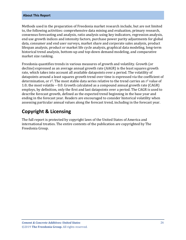#### **About This Report**

Methods used in the preparation of Freedonia market research include, but are not limited to, the following activities: comprehensive data mining and evaluation, primary research, consensus forecasting and analysis, ratio analysis using key indicators, regression analysis, end use growth indices and intensity factors, purchase power parity adjustments for global data, consumer and end user surveys, market share and corporate sales analysis, product lifespan analysis, product or market life cycle analysis, graphical data modeling, long-term historical trend analysis, bottom-up and top-down demand modeling, and comparative market size ranking.

Freedonia quantifies trends in various measures of growth and volatility. Growth (or decline) expressed as an average annual growth rate (AAGR) is the least squares growth rate, which takes into account all available datapoints over a period. The volatility of datapoints around a least squares growth trend over time is expressed via the coefficient of determination, or  $r^2$ . The most stable data series relative to the trend carries an  $r^2$  value of 1.0; the most volatile – 0.0. Growth calculated as a compound annual growth rate (CAGR) employs, by definition, only the first and last datapoints over a period. The CAGR is used to describe forecast growth, defined as the expected trend beginning in the base year and ending in the forecast year. Readers are encouraged to consider historical volatility when assessing particular annual values along the forecast trend, including in the forecast year.

## **Copyright & Licensing**

The full report is protected by copyright laws of the United States of America and international treaties. The entire contents of the publication are copyrighted by The Freedonia Group.